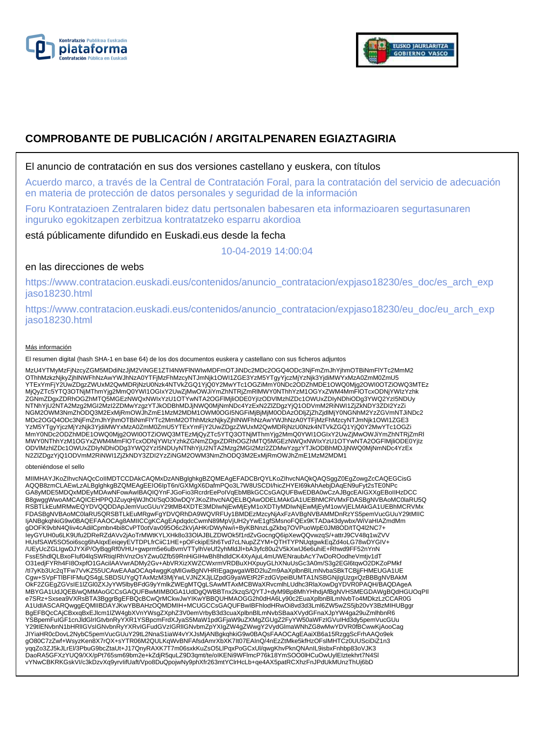



# **COMPROBANTE DE PUBLICACIÓN / ARGITALPENAREN EGIAZTAGIRIA**

## El anuncio de contratación en sus dos versiones castellano y euskera, con títulos

Acuerdo marco, a través de la Central de Contratación Foral, para la contratación del servicio de adecuación en materia de protección de datos personales y seguridad de la información

Foru Kontratazioen Zentralaren bidez datu pertsonalen babesaren eta informazioaren segurtasunaren inguruko egokitzapen zerbitzua kontratatzeko esparru akordioa

está públicamente difundido en Euskadi.eus desde la fecha

10-04-2019 14:00:04

# en las direcciones de webs

https://www.contratacion.euskadi.eus/contenidos/anuncio\_contratacion/expjaso18230/es\_doc/es\_arch\_exp jaso18230.html

https://www.contratacion.euskadi.eus/contenidos/anuncio\_contratacion/expjaso18230/eu\_doc/eu\_arch\_exp jaso18230.html

### Más información

El resumen digital (hash SHA-1 en base 64) de los dos documentos euskera y castellano con sus ficheros adjuntos

MzU4YTMyMzFjNzcyZGM5MDdiNzJjM2ViNGE1ZTI4NWFlNWIwMDFmOTJiNDc2MDc2OGQ4ODc3NjFmZmJhYjhmOTBiNmFlYTc2MmM2 OThhMzkzNjkyZjhlNWFhNzAwYWJhNzA0YTFjMzFhMzcyNTJmNjk1OWI1ZGE3YzM5YTgyYjczMjYzNjk3YjdiMWYxMzA0ZmM0ZmU5 YTExYmFjY2UwZDgzZWUxM2QwMDRjNzU0Nzk4NTVkZGQ1YjQ0Y2MwYTc1OGZiMmY0NDc2ODZhMDE1OWQ0Mjg2OWI0OTZiOWQ3MTEz<br>MjQyZTc5YTQ3OTNjMThmYjg2MmQ0YWI1OGIxY2UwZjMwOWJiYmZhNTRjZmRlMWY0NThhYzM1OGYxZWM4MmFlOTcxODNjYWIzYzhk ZGNmZDgxZDRhOGZhMTQ5MGEzNWQxNWIxYzU1OTYwNTA2OGFlMjliODE0YjIzODVlMzhlZDc1OWUxZDIyNDhiODg3YWQ2YzI5NDUy NTNhYjU2NTA2Mzg2MGI2MzI2ZDMwYzgzYTJkODBhMDJjNWQ0MjNmNDc4YzExN2ZlZDgzYjQ1ODVmM2RiNWI1ZjZkNDY3ZDI2YzZi NGM2OWM3NmZhODQ3M2ExMjRmOWJhZmE1MzM2MDM1OWM0OGI5NGFiMjBjMjM0ODAzODljZjZhZjdlMjY0NGNhM2YzZGVmNTJiNDc2 MDc2OGQ4ODc3NjFmZmJhYjhmOTBiNmFlYTc2MmM2OThhMzkzNjkyZjhlNWFhNzAwYWJhNzA0YTFjMzFhMzcyNTJmNjk1OWI1ZGE3 YzM5YTgyYjczMjYzNjk3YjdiMWYxMzA0ZmM0ZmU5YTExYmFjY2UwZDgzZWUxM2QwMDRjNzU0Nzk4NTVkZGQ1YjQ0Y2MwYTc1OGZi<br>MmY0NDc2ODZhMDE1OWQ0Mjg2OWI0OTZiOWQ3MTEzMjQyZTc5YTQ3OTNjMThmYjg2MmQ0YWI1OGIxY2UwZjMwOWJiYmZhNTRjZmRI MWY0NThhYzM1OGYxZWM4MmFlOTcxODNjYWIzYzhkZGNmZDgxZDRhOGZhMTQ5MGEzNWQxNWIxYzU1OTYwNTA2OGFlMjliODE0YjIz<br>ODVIMzhIZDc1OWUxZDIyNDhiODg3YWQ2YzI5NDUyNTNhYjU2NTA2Mzg2MGI2MzI2ZDMwYzgzYTJkODBhMDJjNWQ0MjNmNDc4YzEx N2ZlZDgzYjQ1ODVmM2RiNWI1ZjZkNDY3ZDI2YzZiNGM2OWM3NmZhODQ3M2ExMjRmOWJhZmE1MzM2MDM1

#### obteniéndose el sello

MIIMHAYJKoZIhvcNAQcCoIIMDTCCDAkCAQMxDzANBglghkgBZQMEAgEFADCBrQYLKoZIhvcNAQkQAQSggZ0EgZowgZcCAQEGCisG<br>AQQB8zmCLAEwLzALBglghkgBZQMEAgEEIO6IpT6n/GXMgX6DafmPQo3L7W8USCDI/hicZHYEI69kAhAebjDAqEN9uFyt2sTE0NPc GA8yMDE5MDQxMDEyMDAwNFowAwIBAQIQYnFJGoFio3RcrdrEePoIVqEbMBkGCCsGAQUFBwEDBA0wCzAJBgcEAIGXXgEBoIIHzDCC B8gwggWwoAMCAQICEHPPQJZuyqHjWJhOI/SqO30wDQYJKoZIhvcNAQELBQAwODELMAkGA1UEBhMCRVMxFDASBgNVBAoMC0laRU5Q RSBTLkEuMRMwEQYDVQQDDApJemVucGUuY29tMB4XDTE3MDIwNjEwMjEyM1oXDTIyMDIwNjEwMjEyM1owVjELMAkGA1UEBhMCRVMx FDASBgNVBAoMC0laRU5QRSBTLkEuMRgwFgYDVQRhDA9WQVRFUy1BMDEzMzcyNjAxFzAVBgNVBAMMDnRzYS5pemVucGUuY29tMIIC ljANBgkqhkiG9w0BAQEFAAOCAg8AMIICCgKCAgEApdqdcCwmN89MpVjUH2yYwE1gfSMsnoFQEx9KTADa43dywbx/WiVaHIAZmdMm<br>gDOFK9vbN4Qliv4cAdilCpmbn4bi8CvPT0otVav095O6c2kVjAHKrDWyNw/i+ByKBNnzLgZkbq7OVPuoWpE0JM8OD/tTQ4l2NC7+ leyGYUH0u6LK9Ufu2DReRZdAVv2jAoTrMWtKYLXHk8o33OlAJBLZDWOk5f1rdZvGocngQ6ipXewQQvwzqS/+attrJ9CV48q1wZVV<br>HUsfSAW5SO5oi6scg6hAIqxEeiqeyEVTDPLfrCiiC1HE+pOFckipE5h6Tvd7cLNupZZYM+QTHTYPNUqtgwkEqZd4oLG78wDYGIV+ /UEyUcZGLIgwDJYXiP/OyBqgRf0VHU+gwprm5e6uBvmVTTylhVeUf2yhMldJl+bA3yfc80u2V5kXwIJ6e6uhiE+Rhwd9FF52nYnN FssE5hdlQLBxoFIuf04lqSWRtiqIRhVnzOsYZwu0Zfb59RnHiGIHwBh8hdldCK4XyAjuL4mUWENraubAcY7wDoROodheVmtjv1dT O31edjFYRh4FI8OxpfO1GAcilAAVwrADMy2Gv+AbVRXizXWZCWxrmVRDBuXHXpuyGLhXNuUsGc3A0m/S3g2EGl6tqwO2DKZoPMkf /tI7yKb3Uc2qTFw7VvKZ55UCAwEAAaOCAq4wggKqMIGwBgNVHRIEgagwgaWBD2luZm9AaXplbnBlLmNvbaSBkTCBjjFHMEUGA1UE Cgw+SVpFTlBFIFMuQS4gLSBDSUYgQTAxMzM3MjYwLVJNZXJjLlZpdG9yaWEtR2FzdGVpeiBUMTA1NSBGNjIgUzgxQzBBBgNVBAkM OkF2ZGEgZGVsIE1IZGI0ZXJyYW5lbyBFdG9yYmlkZWEgMTQgLSAwMTAxMCBWaXRvcmlhLUdhc3RlaXowDgYDVR0PAQH/BAQDAgeA<br>MBYGA1UdJQEB/wQMMAoGCCsGAQUFBwMIMB0GA1UdDgQWBBTnx2kzqS/QYTJ+dyM9Bp8MhYHhdjAfBgNVHSMEGDAWgBQdHGUOqPII<br>e7SRz+Sxsea9VXRsBTA3 A1UdIASCARQwggEQMIIBDAYJKwYBBAHzOQMDMIH+MCUGCCsGAQUFBwIBFhlodHRwOi8vd3d3Lml6ZW5wZS5jb20vY3BzMIHUBggr BgEFBQcCAjCBxxqBxEJlcm1lZW4gbXVnYWsgZXphZ3V0emVrbyB3d3cuaXplbnBlLmNvbSBaaXVydGFnaXJpYW4ga29uZmlhbnR6 YSBpemFuIGF1cnJldGlrIGtvbnRyYXR1YSBpcmFrdXJyaS5MaW1pdGFjaW9uZXMgZGUgZ2FyYW50aWFzIGVuIHd3dy5pemVucGUu Y29tIENvbnN1bHRlIGVsIGNvbnRyYXRvIGFudGVzIGRlIGNvbmZpYXIgZW4gZWwgY2VydGlmaWNhZG8wMwYDVR0fBCwwKjAooCag JIYiaHR0cDovL2NybC5pemVucGUuY29tL2NnaS1iaW4vYXJsMjANBgkqhkiG9w0BAQsFAAOCAgEAaiXB6a15RzggScFrhAAQo9ek gO80C7zZwf+WsyzKen8X7rQX+sYTR06M2QULKqWvBNFAfsdAmrXbXK7It07EAInQ/4nEzZtMke5kfHzOFslMHTCz0UUSciDiZ1n3 yqqZo3ZJ5kJLrEl/3PbuG9bcZtaUt+J17QnyRAXK7T7m06sxkKuZsO5LlPqxPoGCxUl/qwgKhvPknQNAnIL9isbxFnhbp83oVJK3<br>DaoRA5GFXzYUQ9/XX/pPt765sm69bm2e+kZdjR5quLZ9D3qmt/te/oIKENi9WFlmcP76k18YmSOO0lHCuOwUylEIztekhrt7N4Sl vYNwCBKRKGskVI/c3kDzvXq9yrvIifUaft/Vpo8DuQpojwNy9phXfr263mtYClrHcLb+qe4AX5patRCXhzFnJPdUkMUnzThUj6bD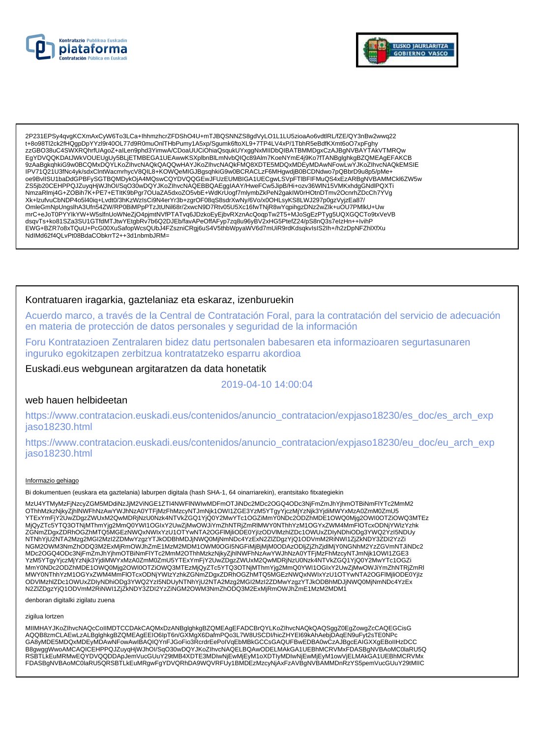



2P231EPSy4qvgKCXmAxCyW6To3LCa+lhhmzhcrZFDShO4U+mTJBQSNNZS8gdVyLO1L1LU5zioaAo6vdtlRL/fZE/QY3nBw2wwq22 EL CONTROL TREAT AND THE MANUSCRIPT OF A CONTROL TREATMENT OF THE CONTROL OF A CONTROL TREATMENT OF THE LATER OF THE CONTROL TREATMENT OF THE LATER OF THE LATER OF THE LATER OF THE LATER OF THE LATER OF THE LATER OF THE LA 9ZAaBgkqhkiG9w0BCQMxDQYLKoZlhvcNAQkQAQQwHAYJKoZlhvcNAQkFMQ8XDTE5MDQxMDEyMDAwNFowLwYJKoZlhvcNAQkEMSIE IPV71Q21U3fNc4yk/sdxClntWacmrhycV8QIL8+KOWQeMIGJBgsqhkiG9w0BCRACLzF6MHgwdjB0BCDNdwo7pQBbrD9u8p5/pMe+ oe9BvllSU1baDdGPBFySGTBQMDykOjA4MQswCQYDVQQGEwJFUzEUMBIGA1UECgwLSVpFTlBFIFMuQS4xEzARBgNVBAMMCkl6ZW5w ZS5jb20CEHPPQJZuyqHjWJhOI/SqO30wDQYJKoZIhvcNAQEBBQAEggIAAY/HweFCw5JipB/Hi+ozv36WIN15VMKxhdgGNdlPQXTi OmleGmNpUngslhA3Ufn54ZW/RP0BiMPpPTzJtUNil68r/2xwcN9D7Rtv05U5Xc16fwTNjR8wYqpihgzDNz2wZlk+uOU7PMlkU+Uw mrC+eJoT0PYYlkYW+W5slfnUoWNeZjO4pjmtNVfPTATvq6JDzkoEyEjbvRXznAcQoqpTw2T5+MJoSgEzPTyg5UQXGQCTo9txVeVB dsqvTs+ko81SZa3SU1GTfdMTJtwYEtgbRv7b6Q2DJEb/favAPeOffAFyp7zq8u96yBV2xHG5PtefZ24/pS8nQ3s7elzHn++IvihP EWG+BZR7o8xTQuU+PcG00XuSafopWcsQUbJ4FZszniCRgj6uS4V5thbWpyaWV6d7mUiR9rdKdsqkvIsIS2Ih+/h2zDpNFZhlXfXu NdlMd62f4QLvPt08BdaCObkrrT2++3d1nbmbJRM=

### Kontratuaren iragarkia, gaztelaniaz eta eskaraz, izenburuekin

Acuerdo marco, a través de la Central de Contratación Foral, para la contratación del servicio de adecuación en materia de protección de datos personales y seguridad de la información

Foru Kontratazioen Zentralaren bidez datu pertsonalen babesaren eta informazioaren segurtasunaren inguruko egokitzapen zerbitzua kontratatzeko esparru akordioa

Euskadi.eus webgunean argitaratzen da data honetatik

2019-04-10 14:00:04

### web hauen helbideetan

https://www.contratacion.euskadi.eus/contenidos/anuncio\_contratacion/expjaso18230/es\_doc/es\_arch\_exp jaso18230.html

https://www.contratacion.euskadi.eus/contenidos/anuncio contratacion/expjaso18230/eu doc/eu arch exp jaso18230.html

### Informazio gehiago

Bi dokumentuen (euskara eta gaztelania) laburpen digitala (hash SHA-1, 64 oinarriarekin), erantsitako fitxategiekin

MzU4YTMyMzFjNzcyZGM5MDdiNzJjM2ViNGE1ZTI4NWFINWIwMDFmOTJiNDc2MDc2OGQ4ODc3NjFmZmJhYjhmOTBiNmFlYTc2MmM2 OThhMzkzNjkyZjhINWFhNzAwYWJhNzA0YTFjMzFhMzcyNTJmNjk1OWI1ZGE3YzM5YTgyYjczMjYzNjk3YjdiMWYxMzA0ZmM0ZmU5 OTHIMIZALY AVAILABLE TRANSPORTED TO THE AVAILABLE TRANSPORTED THAT IS THE SYMPHONE TO UNIVERSITY AND THE SYMPHONE IS ON A STATE TO A MANUSTRATIVE ORIGINAL TRANSPORTED THAT AND THE SYMPHONE IS ON THE SYMPHONE IS ON THE STAT NGM2OWM3NmZhODQ3M2ExMjRmOWJhZmE1MzM2MDM1OWM0OGI5NGFiMjBjMjM0ODAzODIjZjZhZjdlMjY0NGNhM2YzZGVmNTJiNDc2 MDc2OGQ4ODc3NjFmZmJhYjhmOTBiNmFlYTc2MmM2OThhMzkzNjkyZjhlNWFhNzAwYWJhNzA0YTFjMzFhMzcyNTJmNjk1OWI1ZGE3 www.winim.com/inimes/winimes/winimes/winimes/winimes/winimes/winimes/winimes/winimes/winimes/winimes/winimes/w<br>MmY0NDc2ODZhMDE1OWQ0Mjg2OWI0OTZiOWQ3MTEzMjQyZTc5YTQ3OTNjMThmYjg2MmQ0YWI1OGlxY2UwZjMwOWJiYmZhNTRjZmRI MWY0NThhYzM1OGYxZWM4MmFIOTcxODNjYWIzYzhkZGNmZDgxZDRhOGZhMTQ5MGEzNWQxNWIxYzU1OTYwNTA2OGFlMjliODE0YjIz<br>ODVlMzhlZDc1OWUxZDIyNDhiODg3YWQ2YzI5NDUyNTNhYjU2NTA2Mzg2MGI2MzI2ZDMwYzgzYTJkODBhMDJjNWQ0MjNmNDc4YzEx N2ZIZDgzYjQ1ODVmM2RiNWI1ZjZkNDY3ZDI2YzZiNGM2OWM3NmZhODQ3M2ExMjRmOWJhZmE1MzM2MDM1

denboran digitalki zigilatu zuena

#### zigilua lortzen

MIIMHAYJKoZIhvcNAQcCoIIMDTCCDAkCAQMxDzANBglghkgBZQMEAgEFADCBrQYLKoZIhvcNAQkQAQSggZ0EgZowgZcCAQEGCisG AQQB8zmCLAEwLzALBglghkgBZQMEAgEEIO6IpT6n/GXMgX6DafmPQo3L7W8USCDI/hicZHYEI69kAhAebjDAqEN9uFyt2sTE0NPc GA8yMDE5MDQxMDEyMDAwNFowAwIBAQIQYnFJGoFio3RcrdrEePolVqEbMBkGCCsGAQUFBwEDBA0wCzAJBgcEAIGXXgEBoIIHzDCC B8gwggWwoAMCAQICEHPPQJZuyqHjWJhOI/SqO30wDQYJKoZIhvcNAQELBQAwODELMAkGA1UEBhMCRVMxFDASBgNVBAoMC0laRU5Q RSBTLKEuMRMwEQYDVQQDDApJemVucGUuY29tMB4XDTE3MDIwNjEwMjEyM1oXDTIyMDIwNjEwMjEyM1owVjELMAkGA1UEBhMCRVMx FDASBgNVBAoMC0laRU5QRSBTLkEuMRgwFgYDVQRhDA9WQVRFUy1BMDEzMzcyNjAxFzAVBgNVBAMMDnRzYS5pemVucGUuY29tMIIC